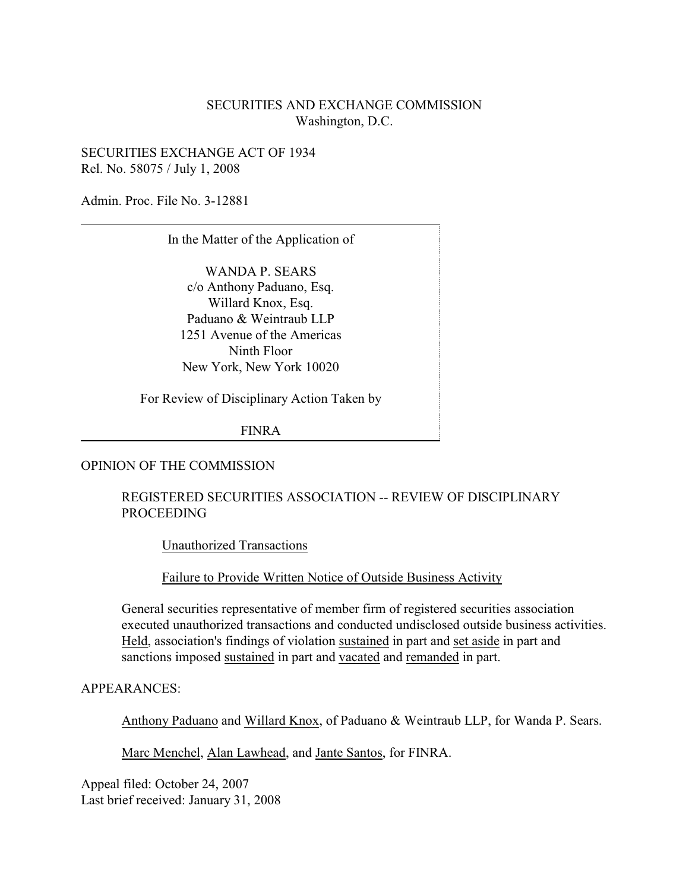## SECURITIES AND EXCHANGE COMMISSION Washington, D.C.

SECURITIES EXCHANGE ACT OF 1934 Rel. No. 58075 / July 1, 2008

Admin. Proc. File No. 3-12881

In the Matter of the Application of

WANDA P. SEARS c/o Anthony Paduano, Esq. Willard Knox, Esq. Paduano & Weintraub LLP 1251 Avenue of the Americas Ninth Floor New York, New York 10020

For Review of Disciplinary Action Taken by

FINRA

### OPINION OF THE COMMISSION

### REGISTERED SECURITIES ASSOCIATION -- REVIEW OF DISCIPLINARY PROCEEDING

Unauthorized Transactions

Failure to Provide Written Notice of Outside Business Activity

General securities representative of member firm of registered securities association executed unauthorized transactions and conducted undisclosed outside business activities. Held, association's findings of violation sustained in part and set aside in part and sanctions imposed sustained in part and vacated and remanded in part.

APPEARANCES:

Anthony Paduano and Willard Knox, of Paduano & Weintraub LLP, for Wanda P. Sears.

Marc Menchel, Alan Lawhead, and Jante Santos, for FINRA.

Appeal filed: October 24, 2007 Last brief received: January 31, 2008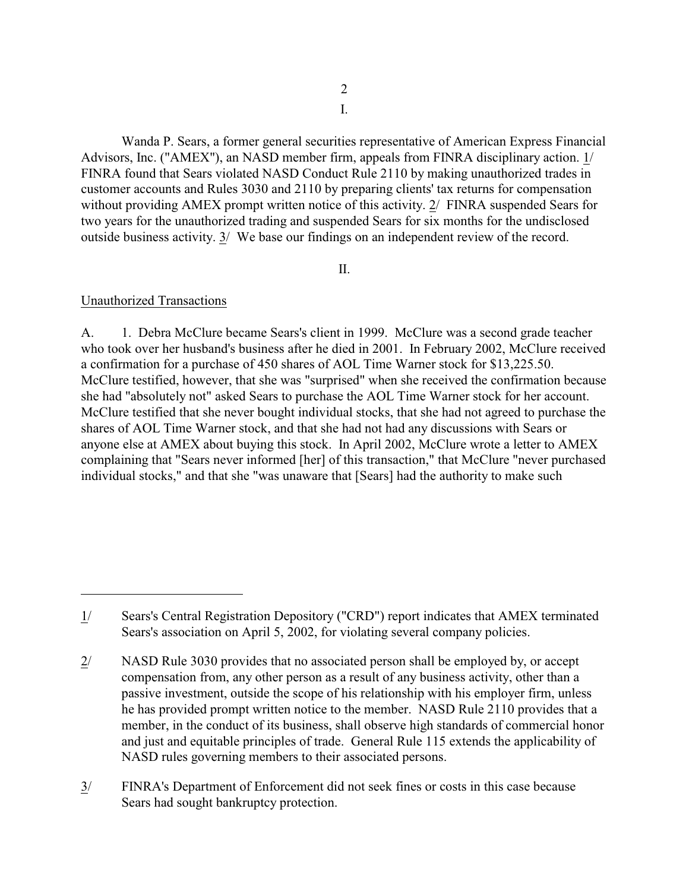I.

Wanda P. Sears, a former general securities representative of American Express Financial Advisors, Inc. ("AMEX"), an NASD member firm, appeals from FINRA disciplinary action. 1/ FINRA found that Sears violated NASD Conduct Rule 2110 by making unauthorized trades in customer accounts and Rules 3030 and 2110 by preparing clients' tax returns for compensation without providing AMEX prompt written notice of this activity. 2/ FINRA suspended Sears for two years for the unauthorized trading and suspended Sears for six months for the undisclosed outside business activity. 3/ We base our findings on an independent review of the record.

# II.

# Unauthorized Transactions

A. 1. Debra McClure became Sears's client in 1999. McClure was a second grade teacher who took over her husband's business after he died in 2001. In February 2002, McClure received a confirmation for a purchase of 450 shares of AOL Time Warner stock for \$13,225.50. McClure testified, however, that she was "surprised" when she received the confirmation because she had "absolutely not" asked Sears to purchase the AOL Time Warner stock for her account. McClure testified that she never bought individual stocks, that she had not agreed to purchase the shares of AOL Time Warner stock, and that she had not had any discussions with Sears or anyone else at AMEX about buying this stock. In April 2002, McClure wrote a letter to AMEX complaining that "Sears never informed [her] of this transaction," that McClure "never purchased individual stocks," and that she "was unaware that [Sears] had the authority to make such

<sup>1/</sup> Sears's Central Registration Depository ("CRD") report indicates that AMEX terminated Sears's association on April 5, 2002, for violating several company policies.

<sup>2/</sup> NASD Rule 3030 provides that no associated person shall be employed by, or accept compensation from, any other person as a result of any business activity, other than a passive investment, outside the scope of his relationship with his employer firm, unless he has provided prompt written notice to the member. NASD Rule 2110 provides that a member, in the conduct of its business, shall observe high standards of commercial honor and just and equitable principles of trade. General Rule 115 extends the applicability of NASD rules governing members to their associated persons.

<sup>3/</sup> FINRA's Department of Enforcement did not seek fines or costs in this case because Sears had sought bankruptcy protection.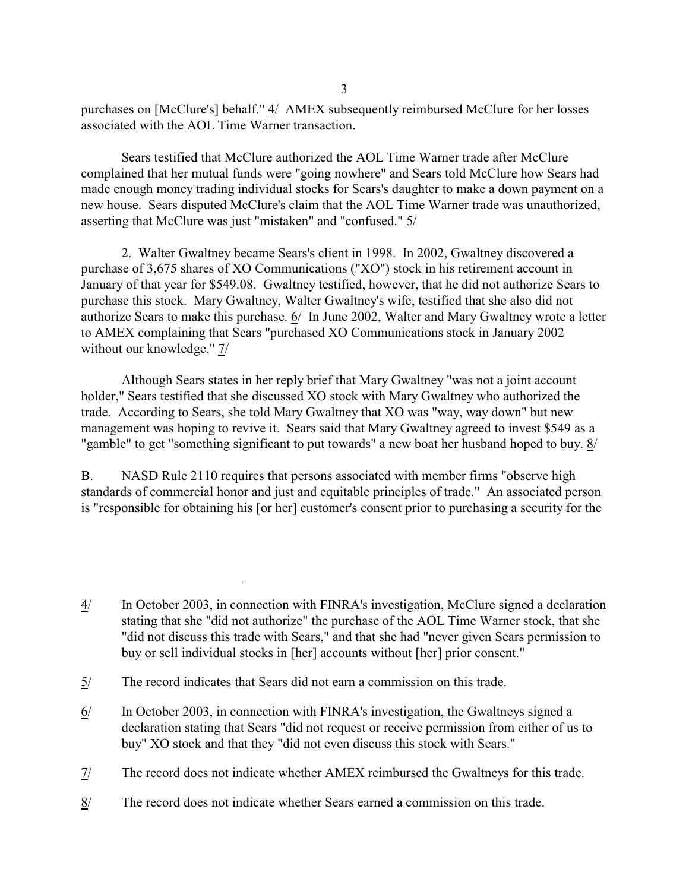purchases on [McClure's] behalf." 4/ AMEX subsequently reimbursed McClure for her losses associated with the AOL Time Warner transaction.

Sears testified that McClure authorized the AOL Time Warner trade after McClure complained that her mutual funds were "going nowhere" and Sears told McClure how Sears had made enough money trading individual stocks for Sears's daughter to make a down payment on a new house. Sears disputed McClure's claim that the AOL Time Warner trade was unauthorized, asserting that McClure was just "mistaken" and "confused." 5/

2. Walter Gwaltney became Sears's client in 1998. In 2002, Gwaltney discovered a purchase of 3,675 shares of XO Communications ("XO") stock in his retirement account in January of that year for \$549.08. Gwaltney testified, however, that he did not authorize Sears to purchase this stock. Mary Gwaltney, Walter Gwaltney's wife, testified that she also did not authorize Sears to make this purchase. 6/ In June 2002, Walter and Mary Gwaltney wrote a letter to AMEX complaining that Sears "purchased XO Communications stock in January 2002 without our knowledge." 7/

Although Sears states in her reply brief that Mary Gwaltney "was not a joint account holder," Sears testified that she discussed XO stock with Mary Gwaltney who authorized the trade. According to Sears, she told Mary Gwaltney that XO was "way, way down" but new management was hoping to revive it. Sears said that Mary Gwaltney agreed to invest \$549 as a "gamble" to get "something significant to put towards" a new boat her husband hoped to buy. 8/

B. NASD Rule 2110 requires that persons associated with member firms "observe high standards of commercial honor and just and equitable principles of trade." An associated person is "responsible for obtaining his [or her] customer's consent prior to purchasing a security for the

<sup>4/</sup> In October 2003, in connection with FINRA's investigation, McClure signed a declaration stating that she "did not authorize" the purchase of the AOL Time Warner stock, that she "did not discuss this trade with Sears," and that she had "never given Sears permission to buy or sell individual stocks in [her] accounts without [her] prior consent."

<sup>5/</sup> The record indicates that Sears did not earn a commission on this trade.

<sup>6/</sup> In October 2003, in connection with FINRA's investigation, the Gwaltneys signed a declaration stating that Sears "did not request or receive permission from either of us to buy" XO stock and that they "did not even discuss this stock with Sears."

<sup>7/</sup> The record does not indicate whether AMEX reimbursed the Gwaltneys for this trade.

<sup>8/</sup> The record does not indicate whether Sears earned a commission on this trade.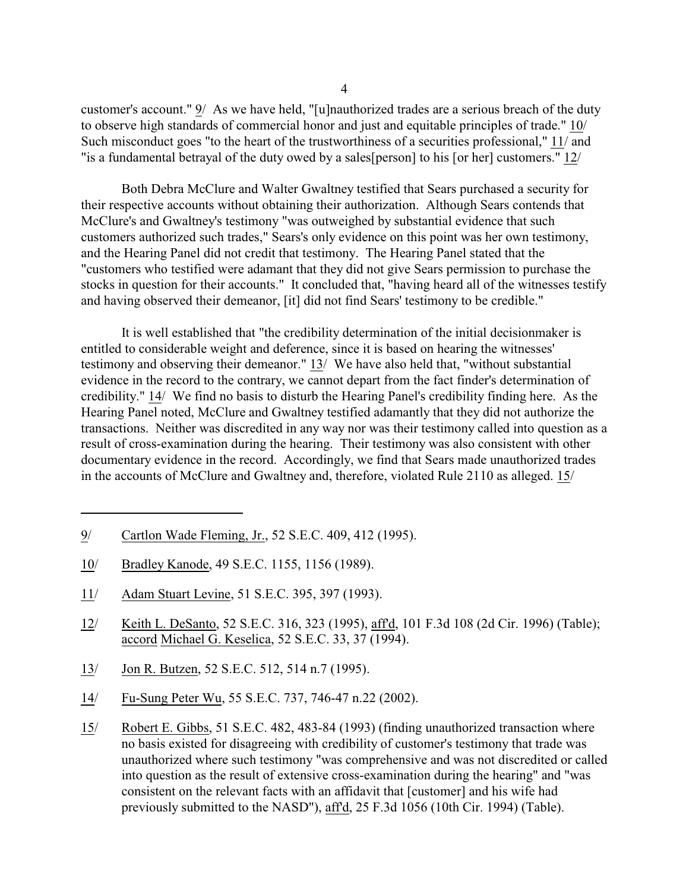customer's account." 9/ As we have held, "[u]nauthorized trades are a serious breach of the duty to observe high standards of commercial honor and just and equitable principles of trade." 10/ Such misconduct goes "to the heart of the trustworthiness of a securities professional," 11/ and "is a fundamental betrayal of the duty owed by a sales[person] to his [or her] customers." 12/

Both Debra McClure and Walter Gwaltney testified that Sears purchased a security for their respective accounts without obtaining their authorization. Although Sears contends that McClure's and Gwaltney's testimony "was outweighed by substantial evidence that such customers authorized such trades," Sears's only evidence on this point was her own testimony, and the Hearing Panel did not credit that testimony. The Hearing Panel stated that the "customers who testified were adamant that they did not give Sears permission to purchase the stocks in question for their accounts." It concluded that, "having heard all of the witnesses testify and having observed their demeanor, [it] did not find Sears' testimony to be credible."

It is well established that "the credibility determination of the initial decisionmaker is entitled to considerable weight and deference, since it is based on hearing the witnesses' testimony and observing their demeanor." 13/ We have also held that, "without substantial evidence in the record to the contrary, we cannot depart from the fact finder's determination of credibility." 14/ We find no basis to disturb the Hearing Panel's credibility finding here. As the Hearing Panel noted, McClure and Gwaltney testified adamantly that they did not authorize the transactions. Neither was discredited in any way nor was their testimony called into question as a result of cross-examination during the hearing. Their testimony was also consistent with other documentary evidence in the record. Accordingly, we find that Sears made unauthorized trades in the accounts of McClure and Gwaltney and, therefore, violated Rule 2110 as alleged. 15/

- 9/ Cartlon Wade Fleming, Jr., 52 S.E.C. 409, 412 (1995).
- 10/ Bradley Kanode, 49 S.E.C. 1155, 1156 (1989).
- 11/ Adam Stuart Levine, 51 S.E.C. 395, 397 (1993).
- 12/ Keith L. DeSanto, 52 S.E.C. 316, 323 (1995), aff'd, 101 F.3d 108 (2d Cir. 1996) (Table); accord Michael G. Keselica, 52 S.E.C. 33, 37 (1994).
- 13/ Jon R. Butzen, 52 S.E.C. 512, 514 n.7 (1995).
- 14/ Fu-Sung Peter Wu, 55 S.E.C. 737, 746-47 n.22 (2002).
- 15/ Robert E. Gibbs, 51 S.E.C. 482, 483-84 (1993) (finding unauthorized transaction where no basis existed for disagreeing with credibility of customer's testimony that trade was unauthorized where such testimony "was comprehensive and was not discredited or called into question as the result of extensive cross-examination during the hearing" and "was consistent on the relevant facts with an affidavit that [customer] and his wife had previously submitted to the NASD"), aff'd, 25 F.3d 1056 (10th Cir. 1994) (Table).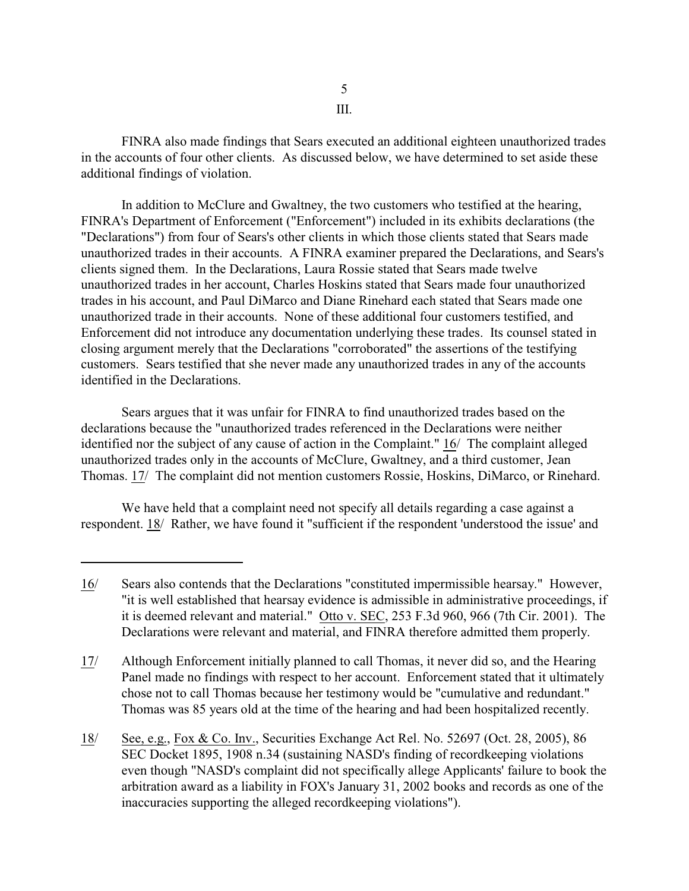FINRA also made findings that Sears executed an additional eighteen unauthorized trades in the accounts of four other clients. As discussed below, we have determined to set aside these additional findings of violation.

In addition to McClure and Gwaltney, the two customers who testified at the hearing, FINRA's Department of Enforcement ("Enforcement") included in its exhibits declarations (the "Declarations") from four of Sears's other clients in which those clients stated that Sears made unauthorized trades in their accounts. A FINRA examiner prepared the Declarations, and Sears's clients signed them. In the Declarations, Laura Rossie stated that Sears made twelve unauthorized trades in her account, Charles Hoskins stated that Sears made four unauthorized trades in his account, and Paul DiMarco and Diane Rinehard each stated that Sears made one unauthorized trade in their accounts. None of these additional four customers testified, and Enforcement did not introduce any documentation underlying these trades. Its counsel stated in closing argument merely that the Declarations "corroborated" the assertions of the testifying customers. Sears testified that she never made any unauthorized trades in any of the accounts identified in the Declarations.

Sears argues that it was unfair for FINRA to find unauthorized trades based on the declarations because the "unauthorized trades referenced in the Declarations were neither identified nor the subject of any cause of action in the Complaint." 16/ The complaint alleged unauthorized trades only in the accounts of McClure, Gwaltney, and a third customer, Jean Thomas. 17/ The complaint did not mention customers Rossie, Hoskins, DiMarco, or Rinehard.

We have held that a complaint need not specify all details regarding a case against a respondent. 18/ Rather, we have found it "sufficient if the respondent 'understood the issue' and

17/ Although Enforcement initially planned to call Thomas, it never did so, and the Hearing Panel made no findings with respect to her account. Enforcement stated that it ultimately chose not to call Thomas because her testimony would be "cumulative and redundant." Thomas was 85 years old at the time of the hearing and had been hospitalized recently.

<sup>16/</sup>  Sears also contends that the Declarations "constituted impermissible hearsay." However, "it is well established that hearsay evidence is admissible in administrative proceedings, if it is deemed relevant and material." Otto v. SEC, 253 F.3d 960, 966 (7th Cir. 2001). The Declarations were relevant and material, and FINRA therefore admitted them properly.

<sup>18/</sup>  See, e.g., Fox & Co. Inv., Securities Exchange Act Rel. No. 52697 (Oct. 28, 2005), 86 SEC Docket 1895, 1908 n.34 (sustaining NASD's finding of recordkeeping violations even though "NASD's complaint did not specifically allege Applicants' failure to book the arbitration award as a liability in FOX's January 31, 2002 books and records as one of the inaccuracies supporting the alleged recordkeeping violations").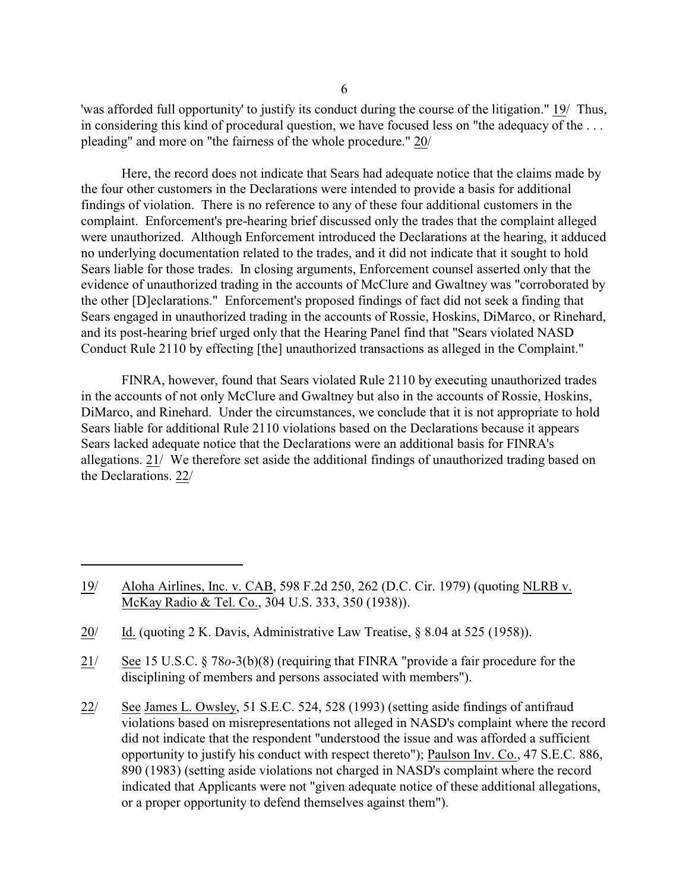'was afforded full opportunity' to justify its conduct during the course of the litigation." 19/ Thus, in considering this kind of procedural question, we have focused less on "the adequacy of the . . . pleading" and more on "the fairness of the whole procedure." 20/

Here, the record does not indicate that Sears had adequate notice that the claims made by the four other customers in the Declarations were intended to provide a basis for additional findings of violation. There is no reference to any of these four additional customers in the complaint. Enforcement's pre-hearing brief discussed only the trades that the complaint alleged were unauthorized. Although Enforcement introduced the Declarations at the hearing, it adduced no underlying documentation related to the trades, and it did not indicate that it sought to hold Sears liable for those trades. In closing arguments, Enforcement counsel asserted only that the evidence of unauthorized trading in the accounts of McClure and Gwaltney was "corroborated by the other [D]eclarations." Enforcement's proposed findings of fact did not seek a finding that Sears engaged in unauthorized trading in the accounts of Rossie, Hoskins, DiMarco, or Rinehard, and its post-hearing brief urged only that the Hearing Panel find that "Sears violated NASD Conduct Rule 2110 by effecting [the] unauthorized transactions as alleged in the Complaint."

FINRA, however, found that Sears violated Rule 2110 by executing unauthorized trades in the accounts of not only McClure and Gwaltney but also in the accounts of Rossie, Hoskins, DiMarco, and Rinehard. Under the circumstances, we conclude that it is not appropriate to hold Sears liable for additional Rule 2110 violations based on the Declarations because it appears Sears lacked adequate notice that the Declarations were an additional basis for FINRA's allegations. 21/ We therefore set aside the additional findings of unauthorized trading based on the Declarations. 22/

- 19/ Aloha Airlines, Inc. v. CAB, 598 F.2d 250, 262 (D.C. Cir. 1979) (quoting NLRB v. McKay Radio & Tel. Co., 304 U.S. 333, 350 (1938)).
- 20/ Id. (quoting 2 K. Davis, Administrative Law Treatise, § 8.04 at 525 (1958)).
- 21/ See 15 U.S.C. § 78*o*-3(b)(8) (requiring that FINRA "provide a fair procedure for the disciplining of members and persons associated with members").
- 22/ See James L. Owsley, 51 S.E.C. 524, 528 (1993) (setting aside findings of antifraud violations based on misrepresentations not alleged in NASD's complaint where the record did not indicate that the respondent "understood the issue and was afforded a sufficient opportunity to justify his conduct with respect thereto"); Paulson Inv. Co., 47 S.E.C. 886, 890 (1983) (setting aside violations not charged in NASD's complaint where the record indicated that Applicants were not "given adequate notice of these additional allegations, or a proper opportunity to defend themselves against them").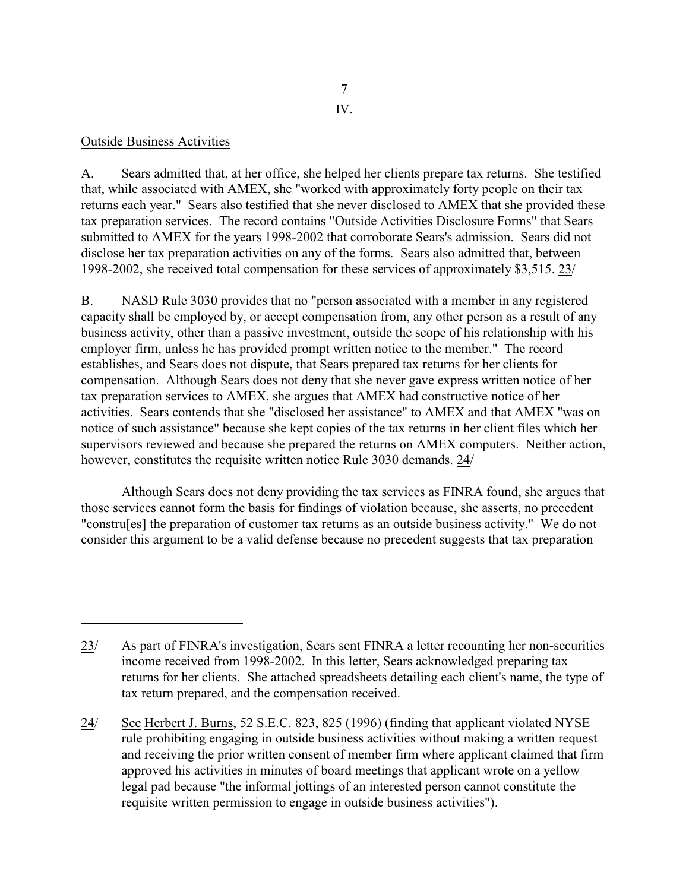## Outside Business Activities

A. Sears admitted that, at her office, she helped her clients prepare tax returns. She testified that, while associated with AMEX, she "worked with approximately forty people on their tax returns each year." Sears also testified that she never disclosed to AMEX that she provided these tax preparation services. The record contains "Outside Activities Disclosure Forms" that Sears submitted to AMEX for the years 1998-2002 that corroborate Sears's admission. Sears did not disclose her tax preparation activities on any of the forms. Sears also admitted that, between 1998-2002, she received total compensation for these services of approximately \$3,515. 23/

B. NASD Rule 3030 provides that no "person associated with a member in any registered capacity shall be employed by, or accept compensation from, any other person as a result of any business activity, other than a passive investment, outside the scope of his relationship with his employer firm, unless he has provided prompt written notice to the member." The record establishes, and Sears does not dispute, that Sears prepared tax returns for her clients for compensation. Although Sears does not deny that she never gave express written notice of her tax preparation services to AMEX, she argues that AMEX had constructive notice of her activities. Sears contends that she "disclosed her assistance" to AMEX and that AMEX "was on notice of such assistance" because she kept copies of the tax returns in her client files which her supervisors reviewed and because she prepared the returns on AMEX computers. Neither action, however, constitutes the requisite written notice Rule 3030 demands. 24/

Although Sears does not deny providing the tax services as FINRA found, she argues that those services cannot form the basis for findings of violation because, she asserts, no precedent "constru[es] the preparation of customer tax returns as an outside business activity." We do not consider this argument to be a valid defense because no precedent suggests that tax preparation

<sup>23/</sup> As part of FINRA's investigation, Sears sent FINRA a letter recounting her non-securities income received from 1998-2002. In this letter, Sears acknowledged preparing tax returns for her clients. She attached spreadsheets detailing each client's name, the type of tax return prepared, and the compensation received.

<sup>24/</sup> See Herbert J. Burns, 52 S.E.C. 823, 825 (1996) (finding that applicant violated NYSE rule prohibiting engaging in outside business activities without making a written request and receiving the prior written consent of member firm where applicant claimed that firm approved his activities in minutes of board meetings that applicant wrote on a yellow legal pad because "the informal jottings of an interested person cannot constitute the requisite written permission to engage in outside business activities").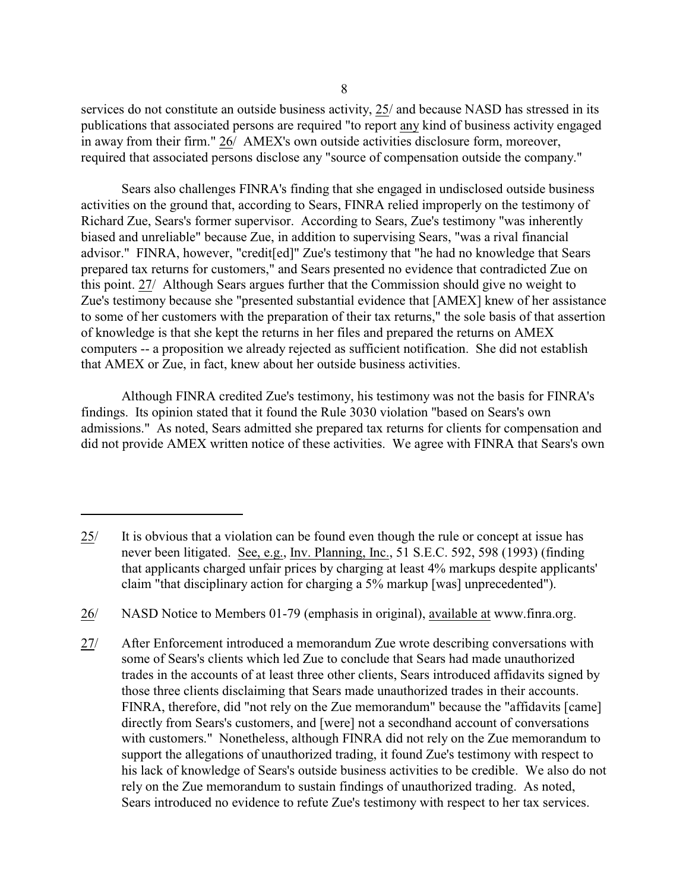services do not constitute an outside business activity, 25/ and because NASD has stressed in its publications that associated persons are required "to report any kind of business activity engaged in away from their firm." 26/ AMEX's own outside activities disclosure form, moreover, required that associated persons disclose any "source of compensation outside the company."

Sears also challenges FINRA's finding that she engaged in undisclosed outside business activities on the ground that, according to Sears, FINRA relied improperly on the testimony of Richard Zue, Sears's former supervisor. According to Sears, Zue's testimony "was inherently biased and unreliable" because Zue, in addition to supervising Sears, "was a rival financial advisor." FINRA, however, "credit[ed]" Zue's testimony that "he had no knowledge that Sears prepared tax returns for customers," and Sears presented no evidence that contradicted Zue on this point. 27/ Although Sears argues further that the Commission should give no weight to Zue's testimony because she "presented substantial evidence that [AMEX] knew of her assistance to some of her customers with the preparation of their tax returns," the sole basis of that assertion of knowledge is that she kept the returns in her files and prepared the returns on AMEX computers -- a proposition we already rejected as sufficient notification. She did not establish that AMEX or Zue, in fact, knew about her outside business activities.

Although FINRA credited Zue's testimony, his testimony was not the basis for FINRA's findings. Its opinion stated that it found the Rule 3030 violation "based on Sears's own admissions." As noted, Sears admitted she prepared tax returns for clients for compensation and did not provide AMEX written notice of these activities. We agree with FINRA that Sears's own

<sup>25/</sup> It is obvious that a violation can be found even though the rule or concept at issue has never been litigated. See, e.g., Inv. Planning, Inc., 51 S.E.C. 592, 598 (1993) (finding that applicants charged unfair prices by charging at least 4% markups despite applicants' claim "that disciplinary action for charging a 5% markup [was] unprecedented").

<sup>26/</sup> NASD Notice to Members 01-79 (emphasis in original), available at www.finra.org.

<sup>27/</sup> After Enforcement introduced a memorandum Zue wrote describing conversations with some of Sears's clients which led Zue to conclude that Sears had made unauthorized trades in the accounts of at least three other clients, Sears introduced affidavits signed by those three clients disclaiming that Sears made unauthorized trades in their accounts. FINRA, therefore, did "not rely on the Zue memorandum" because the "affidavits [came] directly from Sears's customers, and [were] not a secondhand account of conversations with customers." Nonetheless, although FINRA did not rely on the Zue memorandum to support the allegations of unauthorized trading, it found Zue's testimony with respect to his lack of knowledge of Sears's outside business activities to be credible. We also do not rely on the Zue memorandum to sustain findings of unauthorized trading. As noted, Sears introduced no evidence to refute Zue's testimony with respect to her tax services.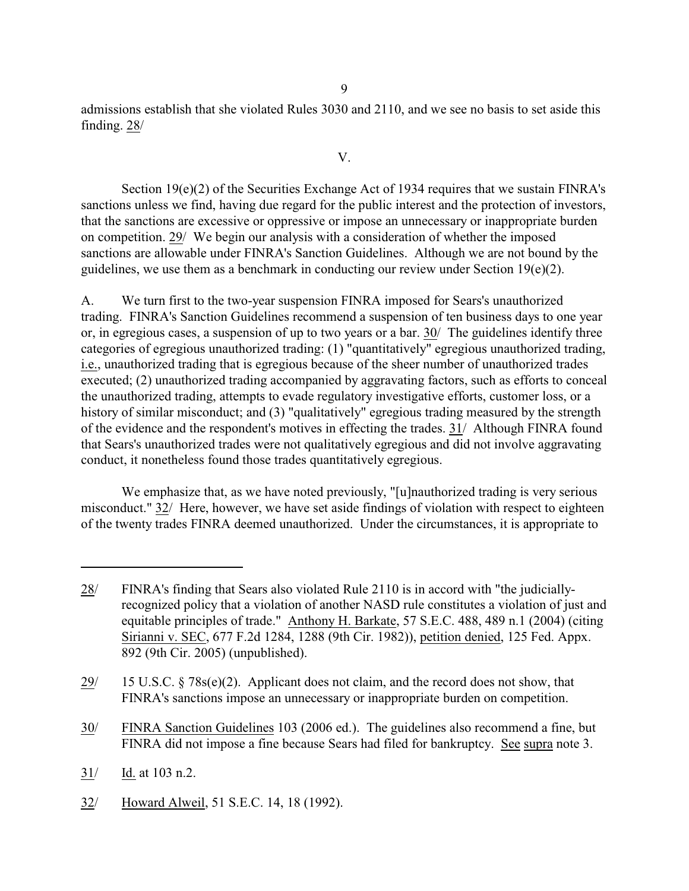admissions establish that she violated Rules 3030 and 2110, and we see no basis to set aside this finding. 28/

V.

Section  $19(e)(2)$  of the Securities Exchange Act of 1934 requires that we sustain FINRA's sanctions unless we find, having due regard for the public interest and the protection of investors, that the sanctions are excessive or oppressive or impose an unnecessary or inappropriate burden on competition. 29/ We begin our analysis with a consideration of whether the imposed sanctions are allowable under FINRA's Sanction Guidelines. Although we are not bound by the guidelines, we use them as a benchmark in conducting our review under Section  $19(e)(2)$ .

A. We turn first to the two-year suspension FINRA imposed for Sears's unauthorized trading. FINRA's Sanction Guidelines recommend a suspension of ten business days to one year or, in egregious cases, a suspension of up to two years or a bar. 30/ The guidelines identify three categories of egregious unauthorized trading: (1) "quantitatively" egregious unauthorized trading, i.e., unauthorized trading that is egregious because of the sheer number of unauthorized trades executed; (2) unauthorized trading accompanied by aggravating factors, such as efforts to conceal the unauthorized trading, attempts to evade regulatory investigative efforts, customer loss, or a history of similar misconduct; and (3) "qualitatively" egregious trading measured by the strength of the evidence and the respondent's motives in effecting the trades. 31/ Although FINRA found that Sears's unauthorized trades were not qualitatively egregious and did not involve aggravating conduct, it nonetheless found those trades quantitatively egregious.

We emphasize that, as we have noted previously, "[u]nauthorized trading is very serious misconduct." 32/ Here, however, we have set aside findings of violation with respect to eighteen of the twenty trades FINRA deemed unauthorized. Under the circumstances, it is appropriate to

- 30/ FINRA Sanction Guidelines 103 (2006 ed.). The guidelines also recommend a fine, but FINRA did not impose a fine because Sears had filed for bankruptcy. See supra note 3.
- $31/$  Id. at 103 n.2.
- 32/ Howard Alweil, 51 S.E.C. 14, 18 (1992).

<sup>28/</sup>  FINRA's finding that Sears also violated Rule 2110 is in accord with "the judiciallyrecognized policy that a violation of another NASD rule constitutes a violation of just and equitable principles of trade." Anthony H. Barkate, 57 S.E.C. 488, 489 n.1 (2004) (citing Sirianni v. SEC, 677 F.2d 1284, 1288 (9th Cir. 1982)), petition denied, 125 Fed. Appx. 892 (9th Cir. 2005) (unpublished).

<sup>29/ 15</sup> U.S.C.  $\S 78s(e)(2)$ . Applicant does not claim, and the record does not show, that FINRA's sanctions impose an unnecessary or inappropriate burden on competition.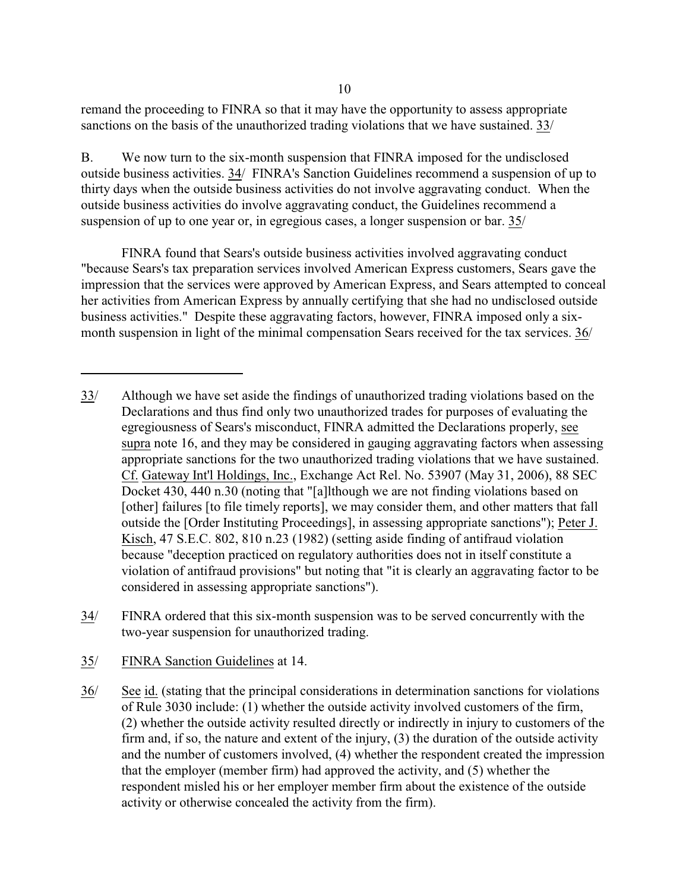remand the proceeding to FINRA so that it may have the opportunity to assess appropriate sanctions on the basis of the unauthorized trading violations that we have sustained. 33/

B. We now turn to the six-month suspension that FINRA imposed for the undisclosed outside business activities. 34/ FINRA's Sanction Guidelines recommend a suspension of up to thirty days when the outside business activities do not involve aggravating conduct. When the outside business activities do involve aggravating conduct, the Guidelines recommend a suspension of up to one year or, in egregious cases, a longer suspension or bar. 35/

FINRA found that Sears's outside business activities involved aggravating conduct "because Sears's tax preparation services involved American Express customers, Sears gave the impression that the services were approved by American Express, and Sears attempted to conceal her activities from American Express by annually certifying that she had no undisclosed outside business activities." Despite these aggravating factors, however, FINRA imposed only a sixmonth suspension in light of the minimal compensation Sears received for the tax services. 36/

34/ FINRA ordered that this six-month suspension was to be served concurrently with the two-year suspension for unauthorized trading.

35/ FINRA Sanction Guidelines at 14.

36/ See id. (stating that the principal considerations in determination sanctions for violations of Rule 3030 include: (1) whether the outside activity involved customers of the firm, (2) whether the outside activity resulted directly or indirectly in injury to customers of the firm and, if so, the nature and extent of the injury, (3) the duration of the outside activity and the number of customers involved, (4) whether the respondent created the impression that the employer (member firm) had approved the activity, and (5) whether the respondent misled his or her employer member firm about the existence of the outside activity or otherwise concealed the activity from the firm).

<sup>33/</sup>  Although we have set aside the findings of unauthorized trading violations based on the Declarations and thus find only two unauthorized trades for purposes of evaluating the egregiousness of Sears's misconduct, FINRA admitted the Declarations properly, see supra note 16, and they may be considered in gauging aggravating factors when assessing appropriate sanctions for the two unauthorized trading violations that we have sustained. Cf. Gateway Int'l Holdings, Inc., Exchange Act Rel. No. 53907 (May 31, 2006), 88 SEC Docket 430, 440 n.30 (noting that "[a]lthough we are not finding violations based on [other] failures [to file timely reports], we may consider them, and other matters that fall outside the [Order Instituting Proceedings], in assessing appropriate sanctions"); Peter J. Kisch, 47 S.E.C. 802, 810 n.23 (1982) (setting aside finding of antifraud violation because "deception practiced on regulatory authorities does not in itself constitute a violation of antifraud provisions" but noting that "it is clearly an aggravating factor to be considered in assessing appropriate sanctions").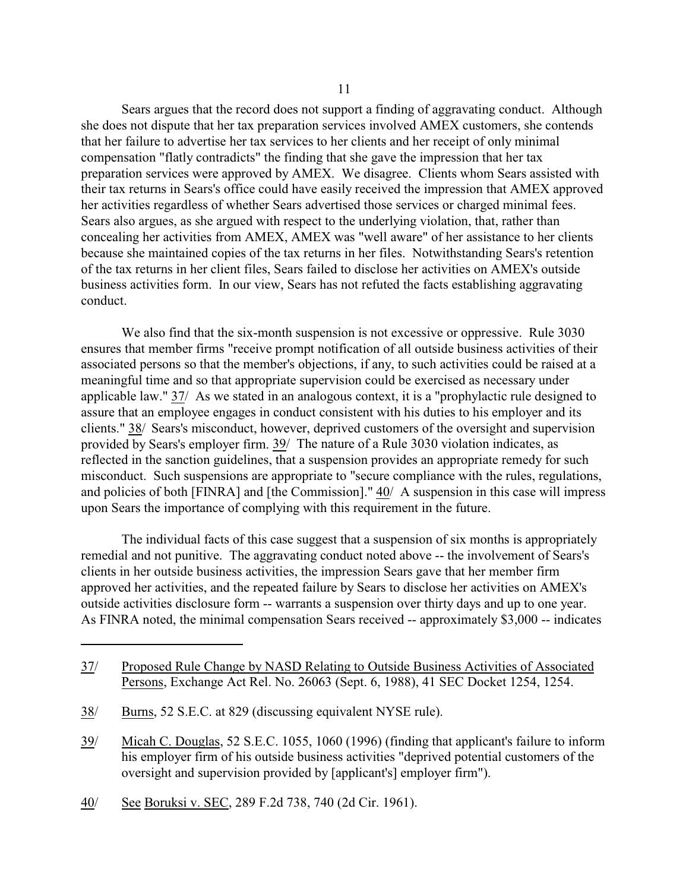Sears argues that the record does not support a finding of aggravating conduct. Although she does not dispute that her tax preparation services involved AMEX customers, she contends that her failure to advertise her tax services to her clients and her receipt of only minimal compensation "flatly contradicts" the finding that she gave the impression that her tax preparation services were approved by AMEX. We disagree. Clients whom Sears assisted with their tax returns in Sears's office could have easily received the impression that AMEX approved her activities regardless of whether Sears advertised those services or charged minimal fees. Sears also argues, as she argued with respect to the underlying violation, that, rather than concealing her activities from AMEX, AMEX was "well aware" of her assistance to her clients because she maintained copies of the tax returns in her files. Notwithstanding Sears's retention of the tax returns in her client files, Sears failed to disclose her activities on AMEX's outside business activities form. In our view, Sears has not refuted the facts establishing aggravating conduct.

We also find that the six-month suspension is not excessive or oppressive. Rule 3030 ensures that member firms "receive prompt notification of all outside business activities of their associated persons so that the member's objections, if any, to such activities could be raised at a meaningful time and so that appropriate supervision could be exercised as necessary under applicable law." 37/ As we stated in an analogous context, it is a "prophylactic rule designed to assure that an employee engages in conduct consistent with his duties to his employer and its clients." 38/ Sears's misconduct, however, deprived customers of the oversight and supervision provided by Sears's employer firm. 39/ The nature of a Rule 3030 violation indicates, as reflected in the sanction guidelines, that a suspension provides an appropriate remedy for such misconduct. Such suspensions are appropriate to "secure compliance with the rules, regulations, and policies of both [FINRA] and [the Commission]." 40/ A suspension in this case will impress upon Sears the importance of complying with this requirement in the future.

The individual facts of this case suggest that a suspension of six months is appropriately remedial and not punitive. The aggravating conduct noted above -- the involvement of Sears's clients in her outside business activities, the impression Sears gave that her member firm approved her activities, and the repeated failure by Sears to disclose her activities on AMEX's outside activities disclosure form -- warrants a suspension over thirty days and up to one year. As FINRA noted, the minimal compensation Sears received -- approximately \$3,000 -- indicates

<sup>37/</sup> Proposed Rule Change by NASD Relating to Outside Business Activities of Associated Persons, Exchange Act Rel. No. 26063 (Sept. 6, 1988), 41 SEC Docket 1254, 1254.

<sup>38/</sup> Burns, 52 S.E.C. at 829 (discussing equivalent NYSE rule).

<sup>39/</sup> Micah C. Douglas, 52 S.E.C. 1055, 1060 (1996) (finding that applicant's failure to inform his employer firm of his outside business activities "deprived potential customers of the oversight and supervision provided by [applicant's] employer firm").

<sup>40/</sup> See Boruksi v. SEC, 289 F.2d 738, 740 (2d Cir. 1961).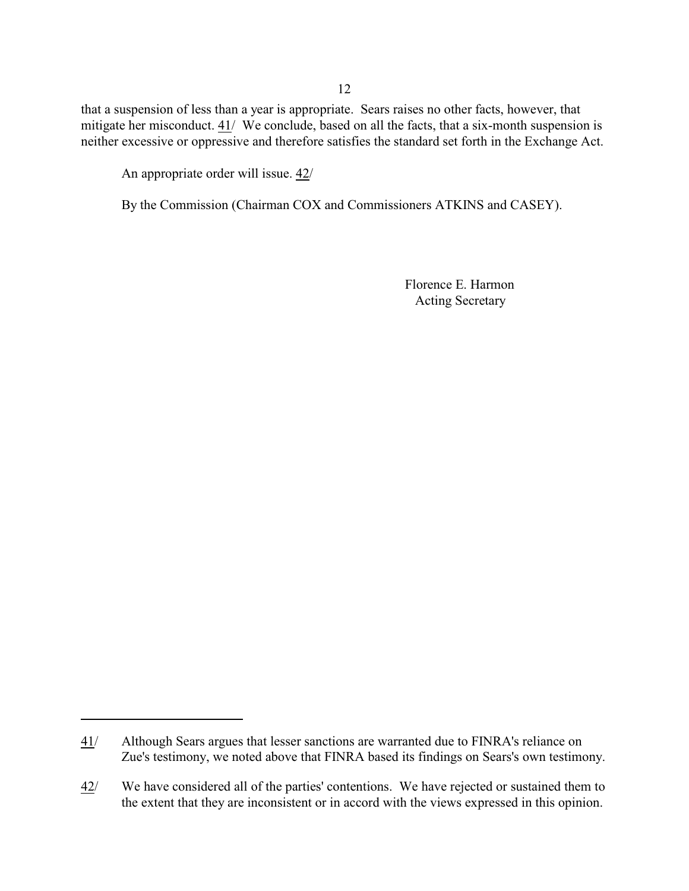that a suspension of less than a year is appropriate. Sears raises no other facts, however, that mitigate her misconduct. 41/ We conclude, based on all the facts, that a six-month suspension is neither excessive or oppressive and therefore satisfies the standard set forth in the Exchange Act.

An appropriate order will issue. 42/

By the Commission (Chairman COX and Commissioners ATKINS and CASEY).

Florence E. Harmon Acting Secretary

<sup>41/</sup>  Although Sears argues that lesser sanctions are warranted due to FINRA's reliance on Zue's testimony, we noted above that FINRA based its findings on Sears's own testimony.

<sup>42/</sup>  We have considered all of the parties' contentions. We have rejected or sustained them to the extent that they are inconsistent or in accord with the views expressed in this opinion.